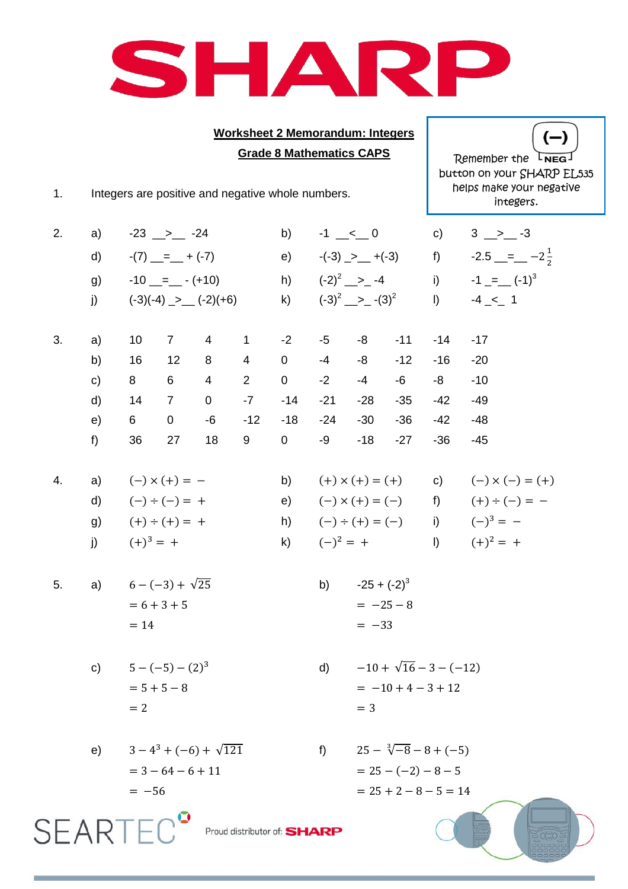

## **Worksheet 2 Memorandum: Integers Grade 8 Mathematics CAPS**

 $(-)$ Remember the LNEG button on your SHARP EL535 helps make your negative integers.

1. Integers are positive and negative whole numbers.

| 2. | a) | $-23$ $\_\_$ $\_\_$ $-24$                                                         |                         |               |                             | b)                | $-1$ $\leq$ 0 c) 3 > $-3$                        |                                                                          |                                                     |                                |                               |  |  |
|----|----|-----------------------------------------------------------------------------------|-------------------------|---------------|-----------------------------|-------------------|--------------------------------------------------|--------------------------------------------------------------------------|-----------------------------------------------------|--------------------------------|-------------------------------|--|--|
|    | d) | $-(7)$ _=_ + (-7)<br>$-10$ _=_ $ (+10)$<br>j) $(-3)(-4)$ $\rightarrow$ $(-2)(+6)$ |                         |               |                             | e)                | $-(-3)$ $>$ $ +(-3)$ f) $-2.5$ $= -2\frac{1}{2}$ |                                                                          |                                                     |                                |                               |  |  |
|    | g) |                                                                                   |                         |               |                             |                   |                                                  | h) $(-2)^2$ -2 -4 i) -1 = $(-1)^3$<br>k) $(-3)^2 \longrightarrow -(3)^2$ |                                                     |                                |                               |  |  |
|    |    |                                                                                   |                         |               |                             |                   |                                                  |                                                                          |                                                     |                                | $1) \t-4 \lt -1$              |  |  |
|    |    |                                                                                   |                         |               |                             |                   |                                                  |                                                                          |                                                     |                                |                               |  |  |
| 3. | a) |                                                                                   |                         |               | $10$ 7 4 1 -2               |                   | $-5$                                             |                                                                          | $-8 - 11$                                           | $-14$                          | $-17$                         |  |  |
|    | b) | 16                                                                                |                         | $12 \qquad 8$ | $4\overline{ }$             | $\overline{0}$    | $-4$                                             | $-8$                                                                     | $-12$                                               | $-16$                          | $-20$                         |  |  |
|    | c) | 8                                                                                 |                         | $6\quad 4$    |                             | $2 \t 0$          | $-2$                                             | $-4$                                                                     | $-6$                                                | $-8$                           | $-10$                         |  |  |
|    | d) | 14                                                                                |                         | $7\qquad 0$   |                             | $-7$ $-14$        | $-21$                                            | $-28$                                                                    | $-35$                                               | $-42$                          | $-49$                         |  |  |
|    | e) | $6 \qquad \qquad$                                                                 |                         | $0 -6 -12$    |                             |                   | $-18 - 24$                                       | $-30$                                                                    | $-36$                                               | $-42$                          | $-48$                         |  |  |
|    | f) | 36                                                                                | 27                      | 18            | 9                           | $0 \qquad \qquad$ | $-9$                                             | $-18$                                                                    | $-27$                                               | $-36$                          | $-45$                         |  |  |
|    |    |                                                                                   |                         |               |                             |                   |                                                  |                                                                          |                                                     |                                |                               |  |  |
| 4. |    | a) $(-) \times (+) = -$                                                           |                         |               |                             |                   |                                                  |                                                                          | b) $(+) \times (+) = (+)$ c) $(-) \times (-) = (+)$ |                                |                               |  |  |
|    |    | d) $(-) \div (-) = +$                                                             |                         |               |                             |                   |                                                  |                                                                          | e) $(-) \times (+) = (-)$ f) $(+) \div (-) = -$     |                                |                               |  |  |
|    |    | g) $(+) \div (+) = +$                                                             |                         |               |                             |                   |                                                  | h) $(-) \div (+) = (-)$ i) $(-)^3 = -$                                   |                                                     |                                |                               |  |  |
|    |    | j) $(+)^3 = +$                                                                    |                         |               |                             |                   |                                                  |                                                                          |                                                     |                                | k) $(-)^2 = +$ 1) $(+)^2 = +$ |  |  |
|    |    |                                                                                   |                         |               |                             |                   |                                                  |                                                                          |                                                     |                                |                               |  |  |
| 5. |    | a) $6 - (-3) + \sqrt{25}$                                                         |                         |               |                             |                   |                                                  | b) $-25 + (-2)^3$                                                        |                                                     |                                |                               |  |  |
|    |    |                                                                                   | $= 6 + 3 + 5$           |               |                             |                   |                                                  |                                                                          | $=-25-8$                                            |                                |                               |  |  |
|    |    | $= 14$                                                                            |                         |               |                             |                   |                                                  | $=-33$                                                                   |                                                     |                                |                               |  |  |
|    |    |                                                                                   |                         |               |                             |                   |                                                  |                                                                          |                                                     |                                |                               |  |  |
|    |    | c) $5-(-5)-(2)^3$<br>$= 5 + 5 - 8$                                                |                         |               |                             |                   |                                                  | $-10 + \sqrt{16} - 3 - (-12)$<br>$\mathsf{d}$<br>$= -10 + 4 - 3 + 12$    |                                                     |                                |                               |  |  |
|    |    |                                                                                   |                         |               |                             |                   |                                                  |                                                                          |                                                     |                                |                               |  |  |
|    |    | $=2$                                                                              |                         |               |                             |                   |                                                  | $=$ 3                                                                    |                                                     |                                |                               |  |  |
|    |    |                                                                                   |                         |               |                             |                   |                                                  |                                                                          |                                                     |                                |                               |  |  |
|    | e) |                                                                                   | $3-4^3+(-6)+\sqrt{121}$ |               |                             |                   | f                                                |                                                                          |                                                     | $25 - \sqrt[3]{-8} - 8 + (-5)$ |                               |  |  |
|    |    |                                                                                   | $= 3 - 64 - 6 + 11$     |               |                             |                   |                                                  |                                                                          | $= 25 - (-2) - 8 - 5$                               |                                |                               |  |  |
|    |    | $= -56$                                                                           |                         |               |                             |                   |                                                  |                                                                          |                                                     | $= 25 + 2 - 8 - 5 = 14$        |                               |  |  |
|    |    |                                                                                   |                         |               |                             |                   |                                                  |                                                                          |                                                     |                                |                               |  |  |
| SF |    |                                                                                   |                         |               | Proud distributor of: SHARP |                   |                                                  |                                                                          |                                                     |                                |                               |  |  |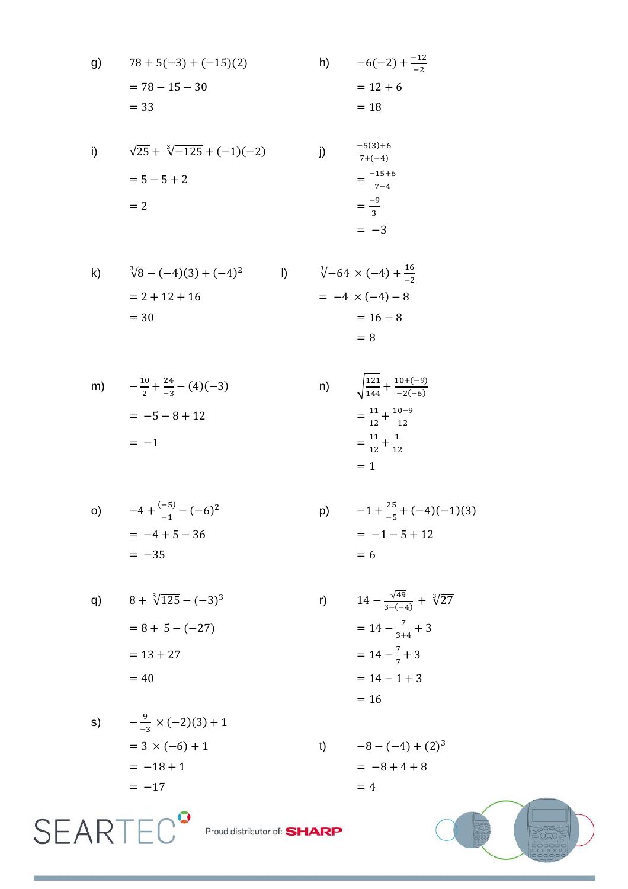g) 
$$
78 + 5(-3) + (-15)(2)
$$
  
\n $= 78 - 15 - 30$   
\n $= 33$   
\n $= 18$   
\n $h) -6(-2) + \frac{-12}{-2}$   
\n $= 12 + 6$   
\n $= 18$ 

i) 
$$
\sqrt{25} + \sqrt[3]{-125} + (-1)(-2)
$$
  
\n
$$
= 5 - 5 + 2
$$
\n
$$
= 2
$$
\nii)  $\frac{-5(3) + 6}{7 + (-4)}$   
\n
$$
= \frac{-15 + 6}{7 - 4}
$$
  
\n
$$
= \frac{-9}{3}
$$
  
\n
$$
= -3
$$

k) 
$$
\sqrt[3]{8} - (-4)(3) + (-4)^2
$$
  
\n= 2 + 12 + 16  
\n= 30  
\n  
\n $\sqrt[3]{-64} \times (-4) + \frac{16}{-2}$   
\n= -4 × (-4) - 8  
\n= 16 - 8  
\n= 8

m) 
$$
-\frac{10}{2} + \frac{24}{-3} - (4)(-3)
$$
  
\n= -5 - 8 + 12  
\n= -1  
\n $\frac{121}{144} + \frac{10+(-9)}{-2(-6)}$   
\n=  $\frac{11}{12} + \frac{10-9}{12}$   
\n=  $\frac{11}{12} + \frac{1}{12}$ 

$$
\sqrt{144} \quad -2(-6)
$$
  
=  $\frac{11}{12} + \frac{10-9}{12}$   
=  $\frac{11}{12} + \frac{1}{12}$   
= 1

 $\mathsf{p})$ 

 $r)$ 

$$
-4 + \frac{(-5)}{-1} - (-6)^2
$$
  
= -4 + 5 - 36  
= -35

$$
-1 + \frac{25}{-5} + (-4)(-1)(3)
$$
  
= -1 - 5 + 12  
= 6

q) 
$$
8 + \sqrt[3]{125} - (-3)^3
$$
  
=  $8 + 5 - (-27)$   
=  $13 + 27$   
= 40

$$
14 - \frac{\sqrt{49}}{3 - (-4)} + \sqrt[3]{27}
$$
  
= 14 - \frac{7}{3 + 4} + 3  
= 14 - \frac{7}{7} + 3  
= 14 - 1 + 3  
= 16

s) 
$$
-\frac{9}{-3} \times (-2)(3) + 1
$$

$$
= 3 \times (-6) + 1
$$

$$
= -18 + 1
$$

$$
= -17
$$

**SEARTEC<sup>®</sup>** 

 $-8-(-4)+(2)^3$  $t)$  $= -8 + 4 + 8$  $=4$ 



Proud distributor of: **SHARP**